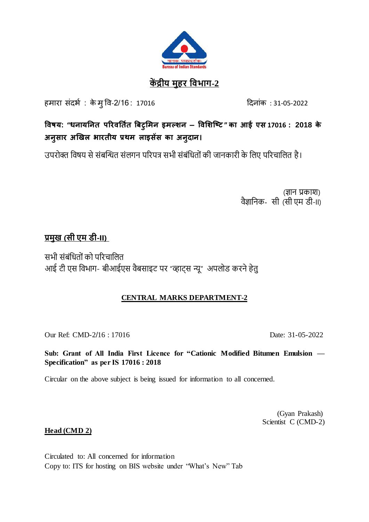

# **कें द्रीय मुहर विभाग-2**

हमारा संदर्भ : केमु वि-2/16 : 17016 दिनांक : 31-05-2022

# **विषय: "धनायननत परििनतित बिटुमिन इिल्शन — विमशष्टट " का आई एस 17016 : 2018 के अनुसाि अखिल भाितीय प्रथि लाइसेंस का अनुदान।**

उपरोक्त विषय से संबन्धित संलगन पररपत्र सभी संबंवितों की जानकारी के वलए पररचावलत है।

 (ज्ञान प्रकाश) िैज्ञावनक- सी (सी एम डी-II)

## **प्रमुख (सी एम डी-II)**

सभी संबंवितों को पररचावलत आई टी एस विभाग- बीआईएस वैबसाइट पर "व्हाट्स न्यू" अपलोड करने हेतु

### **CENTRAL MARKS DEPARTMENT-2**

Our Ref: CMD-2/16 : 17016 Date: 31-05-2022

**Sub: Grant of All India First Licence for "Cationic Modified Bitumen Emulsion — Specification" as per IS 17016 : 2018**

Circular on the above subject is being issued for information to all concerned.

 (Gyan Prakash) Scientist C (CMD-2)

**Head (CMD 2)**

Circulated to: All concerned for information Copy to: ITS for hosting on BIS website under "What's New" Tab